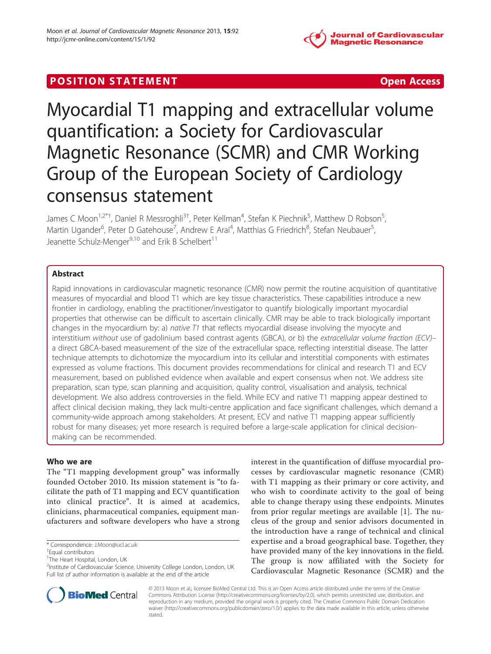

## **POSITION STATEMENT CONSUMING ACCESS**

# Myocardial T1 mapping and extracellular volume quantification: a Society for Cardiovascular Magnetic Resonance (SCMR) and CMR Working Group of the European Society of Cardiology consensus statement

James C Moon<sup>1,2\*†</sup>, Daniel R Messroghli<sup>3†</sup>, Peter Kellman<sup>4</sup>, Stefan K Piechnik<sup>5</sup>, Matthew D Robson<sup>5</sup> , Martin Ugander<sup>6</sup>, Peter D Gatehouse<sup>7</sup>, Andrew E Arai<sup>4</sup>, Matthias G Friedrich<sup>8</sup>, Stefan Neubauer<sup>5</sup> , Jeanette Schulz-Menger<sup>9,10</sup> and Erik B Schelbert<sup>11</sup>

## Abstract

Rapid innovations in cardiovascular magnetic resonance (CMR) now permit the routine acquisition of quantitative measures of myocardial and blood T1 which are key tissue characteristics. These capabilities introduce a new frontier in cardiology, enabling the practitioner/investigator to quantify biologically important myocardial properties that otherwise can be difficult to ascertain clinically. CMR may be able to track biologically important changes in the myocardium by: a) native  $T1$  that reflects myocardial disease involving the myocyte and interstitium without use of gadolinium based contrast agents (GBCA), or b) the extracellular volume fraction (ECV)– a direct GBCA-based measurement of the size of the extracellular space, reflecting interstitial disease. The latter technique attempts to dichotomize the myocardium into its cellular and interstitial components with estimates expressed as volume fractions. This document provides recommendations for clinical and research T1 and ECV measurement, based on published evidence when available and expert consensus when not. We address site preparation, scan type, scan planning and acquisition, quality control, visualisation and analysis, technical development. We also address controversies in the field. While ECV and native T1 mapping appear destined to affect clinical decision making, they lack multi-centre application and face significant challenges, which demand a community-wide approach among stakeholders. At present, ECV and native T1 mapping appear sufficiently robust for many diseases; yet more research is required before a large-scale application for clinical decisionmaking can be recommended.

#### Who we are

The "T1 mapping development group" was informally founded October 2010. Its mission statement is "to facilitate the path of T1 mapping and ECV quantification into clinical practice". It is aimed at academics, clinicians, pharmaceutical companies, equipment manufacturers and software developers who have a strong

<sup>&</sup>lt;sup>2</sup>Institute of Cardiovascular Science, University College London, London, UK Full list of author information is available at the end of the article





© 2013 Moon et al.; licensee BioMed Central Ltd. This is an Open Access article distributed under the terms of the Creative Commons Attribution License [\(http://creativecommons.org/licenses/by/2.0\)](http://creativecommons.org/licenses/by/2.0), which permits unrestricted use, distribution, and reproduction in any medium, provided the original work is properly cited. The Creative Commons Public Domain Dedication waiver [\(http://creativecommons.org/publicdomain/zero/1.0/\)](http://creativecommons.org/publicdomain/zero/1.0/) applies to the data made available in this article, unless otherwise stated.

<sup>\*</sup> Correspondence: [J.Moon@ucl.ac.uk](mailto:J.Moon@ucl.ac.uk) †

Equal contributors

<sup>&</sup>lt;sup>1</sup>The Heart Hospital, London, UK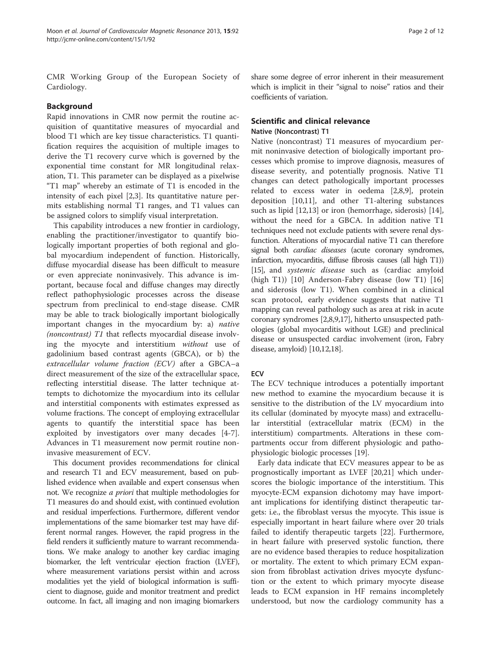CMR Working Group of the European Society of Cardiology.

#### Background

Rapid innovations in CMR now permit the routine acquisition of quantitative measures of myocardial and blood T1 which are key tissue characteristics. T1 quantification requires the acquisition of multiple images to derive the T1 recovery curve which is governed by the exponential time constant for MR longitudinal relaxation, T1. This parameter can be displayed as a pixelwise "T1 map" whereby an estimate of T1 is encoded in the intensity of each pixel [\[2,3](#page-8-0)]. Its quantitative nature permits establishing normal T1 ranges, and T1 values can be assigned colors to simplify visual interpretation.

This capability introduces a new frontier in cardiology, enabling the practitioner/investigator to quantify biologically important properties of both regional and global myocardium independent of function. Historically, diffuse myocardial disease has been difficult to measure or even appreciate noninvasively. This advance is important, because focal and diffuse changes may directly reflect pathophysiologic processes across the disease spectrum from preclinical to end-stage disease. CMR may be able to track biologically important biologically important changes in the myocardium by: a) native (noncontrast) T1 that reflects myocardial disease involving the myocyte and interstitium without use of gadolinium based contrast agents (GBCA), or b) the extracellular volume fraction (ECV) after a GBCA–a direct measurement of the size of the extracellular space, reflecting interstitial disease. The latter technique attempts to dichotomize the myocardium into its cellular and interstitial components with estimates expressed as volume fractions. The concept of employing extracellular agents to quantify the interstitial space has been exploited by investigators over many decades [[4](#page-8-0)[-7](#page-9-0)]. Advances in T1 measurement now permit routine noninvasive measurement of ECV.

This document provides recommendations for clinical and research T1 and ECV measurement, based on published evidence when available and expert consensus when not. We recognize *a priori* that multiple methodologies for T1 measures do and should exist, with continued evolution and residual imperfections. Furthermore, different vendor implementations of the same biomarker test may have different normal ranges. However, the rapid progress in the field renders it sufficiently mature to warrant recommendations. We make analogy to another key cardiac imaging biomarker, the left ventricular ejection fraction (LVEF), where measurement variations persist within and across modalities yet the yield of biological information is sufficient to diagnose, guide and monitor treatment and predict outcome. In fact, all imaging and non imaging biomarkers

share some degree of error inherent in their measurement which is implicit in their "signal to noise" ratios and their coefficients of variation.

## Scientific and clinical relevance

#### Native (Noncontrast) T1

Native (noncontrast) T1 measures of myocardium permit noninvasive detection of biologically important processes which promise to improve diagnosis, measures of disease severity, and potentially prognosis. Native T1 changes can detect pathologically important processes related to excess water in oedema [\[2](#page-8-0)[,8,9](#page-9-0)], protein deposition [\[10,11](#page-9-0)], and other T1-altering substances such as lipid [\[12,13\]](#page-9-0) or iron (hemorrhage, siderosis) [\[14](#page-9-0)], without the need for a GBCA. In addition native T1 techniques need not exclude patients with severe renal dysfunction. Alterations of myocardial native T1 can therefore signal both *cardiac diseases* (acute coronary syndromes, infarction, myocarditis, diffuse fibrosis causes (all high T1)) [[15\]](#page-9-0), and *systemic disease* such as (cardiac amyloid (high T1)) [\[10](#page-9-0)] Anderson-Fabry disease (low T1) [\[16](#page-9-0)] and siderosis (low T1). When combined in a clinical scan protocol, early evidence suggests that native T1 mapping can reveal pathology such as area at risk in acute coronary syndromes [\[2,](#page-8-0)[8,9,17](#page-9-0)], hitherto unsuspected pathologies (global myocarditis without LGE) and preclinical disease or unsuspected cardiac involvement (iron, Fabry disease, amyloid) [\[10,12,18](#page-9-0)].

#### **ECV**

The ECV technique introduces a potentially important new method to examine the myocardium because it is sensitive to the distribution of the LV myocardium into its cellular (dominated by myocyte mass) and extracellular interstitial (extracellular matrix (ECM) in the interstitium) compartments. Alterations in these compartments occur from different physiologic and pathophysiologic biologic processes [\[19\]](#page-9-0).

Early data indicate that ECV measures appear to be as prognostically important as LVEF [\[20,21](#page-9-0)] which underscores the biologic importance of the interstitium. This myocyte-ECM expansion dichotomy may have important implications for identifying distinct therapeutic targets: i.e., the fibroblast versus the myocyte. This issue is especially important in heart failure where over 20 trials failed to identify therapeutic targets [[22\]](#page-9-0). Furthermore, in heart failure with preserved systolic function, there are no evidence based therapies to reduce hospitalization or mortality. The extent to which primary ECM expansion from fibroblast activation drives myocyte dysfunction or the extent to which primary myocyte disease leads to ECM expansion in HF remains incompletely understood, but now the cardiology community has a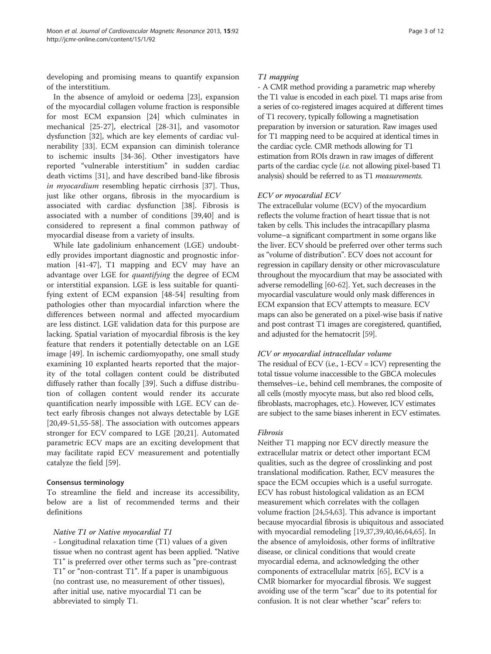developing and promising means to quantify expansion of the interstitium.

In the absence of amyloid or oedema [\[23](#page-9-0)], expansion of the myocardial collagen volume fraction is responsible for most ECM expansion [[24\]](#page-9-0) which culminates in mechanical [[25-27](#page-9-0)], electrical [[28-31](#page-9-0)], and vasomotor dysfunction [[32\]](#page-9-0), which are key elements of cardiac vulnerability [[33\]](#page-9-0). ECM expansion can diminish tolerance to ischemic insults [\[34](#page-9-0)-[36](#page-9-0)]. Other investigators have reported "vulnerable interstitium" in sudden cardiac death victims [\[31](#page-9-0)], and have described band-like fibrosis in myocardium resembling hepatic cirrhosis [\[37](#page-9-0)]. Thus, just like other organs, fibrosis in the myocardium is associated with cardiac dysfunction [\[38](#page-9-0)]. Fibrosis is associated with a number of conditions [[39,40\]](#page-9-0) and is considered to represent a final common pathway of myocardial disease from a variety of insults.

While late gadolinium enhancement (LGE) undoubtedly provides important diagnostic and prognostic information [[41](#page-9-0)[-47\]](#page-10-0), T1 mapping and ECV may have an advantage over LGE for quantifying the degree of ECM or interstitial expansion. LGE is less suitable for quantifying extent of ECM expansion [\[48-54](#page-10-0)] resulting from pathologies other than myocardial infarction where the differences between normal and affected myocardium are less distinct. LGE validation data for this purpose are lacking. Spatial variation of myocardial fibrosis is the key feature that renders it potentially detectable on an LGE image [\[49\]](#page-10-0). In ischemic cardiomyopathy, one small study examining 10 explanted hearts reported that the majority of the total collagen content could be distributed diffusely rather than focally [\[39\]](#page-9-0). Such a diffuse distribution of collagen content would render its accurate quantification nearly impossible with LGE. ECV can detect early fibrosis changes not always detectable by LGE [[20,](#page-9-0)[49-51,55-58](#page-10-0)]. The association with outcomes appears stronger for ECV compared to LGE [[20,21\]](#page-9-0). Automated parametric ECV maps are an exciting development that may facilitate rapid ECV measurement and potentially catalyze the field [\[59\]](#page-10-0).

#### Consensus terminology

To streamline the field and increase its accessibility, below are a list of recommended terms and their definitions

## Native T1 or Native myocardial T1

- Longitudinal relaxation time (T1) values of a given tissue when no contrast agent has been applied. "Native T1" is preferred over other terms such as "pre-contrast T1" or "non-contrast T1". If a paper is unambiguous (no contrast use, no measurement of other tissues), after initial use, native myocardial T1 can be abbreviated to simply T1.

### T1 mapping

- A CMR method providing a parametric map whereby the T1 value is encoded in each pixel. T1 maps arise from a series of co-registered images acquired at different times of T1 recovery, typically following a magnetisation preparation by inversion or saturation. Raw images used for T1 mapping need to be acquired at identical times in the cardiac cycle. CMR methods allowing for T1 estimation from ROIs drawn in raw images of different parts of the cardiac cycle (i.e. not allowing pixel-based T1 analysis) should be referred to as T1 *measurements*.

## ECV or myocardial ECV

The extracellular volume (ECV) of the myocardium reflects the volume fraction of heart tissue that is not taken by cells. This includes the intracapillary plasma volume–a significant compartment in some organs like the liver. ECV should be preferred over other terms such as "volume of distribution". ECV does not account for regression in capillary density or other microvasculature throughout the myocardium that may be associated with adverse remodelling [\[60-62](#page-10-0)]. Yet, such decreases in the myocardial vasculature would only mask differences in ECM expansion that ECV attempts to measure. ECV maps can also be generated on a pixel-wise basis if native and post contrast T1 images are coregistered, quantified, and adjusted for the hematocrit [[59](#page-10-0)].

## ICV or myocardial intracellular volume

The residual of ECV (i.e.,  $1$ -ECV = ICV) representing the total tissue volume inaccessible to the GBCA molecules themselves–i.e., behind cell membranes, the composite of all cells (mostly myocyte mass, but also red blood cells, fibroblasts, macrophages, etc.). However, ICV estimates are subject to the same biases inherent in ECV estimates.

#### Fibrosis

Neither T1 mapping nor ECV directly measure the extracellular matrix or detect other important ECM qualities, such as the degree of crosslinking and post translational modification. Rather, ECV measures the space the ECM occupies which is a useful surrogate. ECV has robust histological validation as an ECM measurement which correlates with the collagen volume fraction [\[24](#page-9-0)[,54,63\]](#page-10-0). This advance is important because myocardial fibrosis is ubiquitous and associated with myocardial remodeling [[19,37](#page-9-0),[39,40,](#page-9-0)[46,64](#page-10-0),[65](#page-10-0)]. In the absence of amyloidosis, other forms of infiltrative disease, or clinical conditions that would create myocardial edema, and acknowledging the other components of extracellular matrix [[65](#page-10-0)], ECV is a CMR biomarker for myocardial fibrosis. We suggest avoiding use of the term "scar" due to its potential for confusion. It is not clear whether "scar" refers to: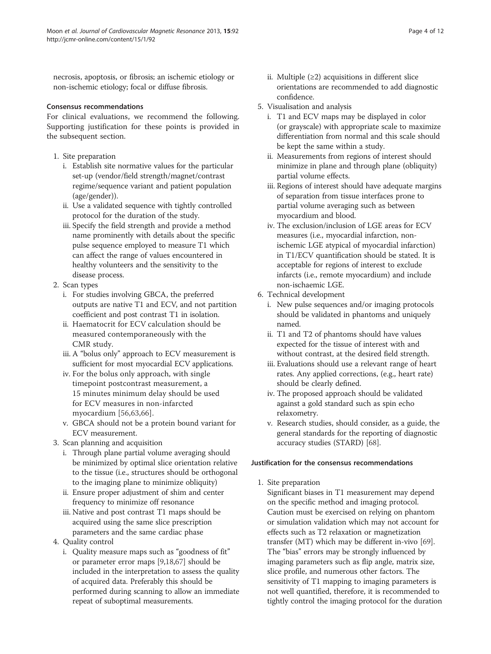necrosis, apoptosis, or fibrosis; an ischemic etiology or non-ischemic etiology; focal or diffuse fibrosis.

#### Consensus recommendations

For clinical evaluations, we recommend the following. Supporting justification for these points is provided in the subsequent section.

- 1. Site preparation
	- i. Establish site normative values for the particular set-up (vendor/field strength/magnet/contrast regime/sequence variant and patient population (age/gender)).
	- ii. Use a validated sequence with tightly controlled protocol for the duration of the study.
	- iii. Specify the field strength and provide a method name prominently with details about the specific pulse sequence employed to measure T1 which can affect the range of values encountered in healthy volunteers and the sensitivity to the disease process.
- 2. Scan types
	- i. For studies involving GBCA, the preferred outputs are native T1 and ECV, and not partition coefficient and post contrast T1 in isolation.
	- ii. Haematocrit for ECV calculation should be measured contemporaneously with the CMR study.
	- iii. A "bolus only" approach to ECV measurement is sufficient for most myocardial ECV applications.
	- iv. For the bolus only approach, with single timepoint postcontrast measurement, a 15 minutes minimum delay should be used for ECV measures in non-infarcted myocardium [[56,63,66](#page-10-0)].
	- v. GBCA should not be a protein bound variant for ECV measurement.
- 3. Scan planning and acquisition
	- i. Through plane partial volume averaging should be minimized by optimal slice orientation relative to the tissue (i.e., structures should be orthogonal to the imaging plane to minimize obliquity)
	- ii. Ensure proper adjustment of shim and center frequency to minimize off resonance
	- iii. Native and post contrast T1 maps should be acquired using the same slice prescription parameters and the same cardiac phase
- 4. Quality control
	- i. Quality measure maps such as "goodness of fit" or parameter error maps [[9,18,](#page-9-0)[67](#page-10-0)] should be included in the interpretation to assess the quality of acquired data. Preferably this should be performed during scanning to allow an immediate repeat of suboptimal measurements.
- ii. Multiple  $(≥2)$  acquisitions in different slice orientations are recommended to add diagnostic confidence.
- 5. Visualisation and analysis
	- i. T1 and ECV maps may be displayed in color (or grayscale) with appropriate scale to maximize differentiation from normal and this scale should be kept the same within a study.
	- ii. Measurements from regions of interest should minimize in plane and through plane (obliquity) partial volume effects.
	- iii. Regions of interest should have adequate margins of separation from tissue interfaces prone to partial volume averaging such as between myocardium and blood.
	- iv. The exclusion/inclusion of LGE areas for ECV measures (i.e., myocardial infarction, nonischemic LGE atypical of myocardial infarction) in T1/ECV quantification should be stated. It is acceptable for regions of interest to exclude infarcts (i.e., remote myocardium) and include non-ischaemic LGE.
- 6. Technical development
	- i. New pulse sequences and/or imaging protocols should be validated in phantoms and uniquely named.
	- ii. T1 and T2 of phantoms should have values expected for the tissue of interest with and without contrast, at the desired field strength.
	- iii. Evaluations should use a relevant range of heart rates. Any applied corrections, (e.g., heart rate) should be clearly defined.
	- iv. The proposed approach should be validated against a gold standard such as spin echo relaxometry.
	- v. Research studies, should consider, as a guide, the general standards for the reporting of diagnostic accuracy studies (STARD) [\[68](#page-10-0)].

## Justification for the consensus recommendations

1. Site preparation

Significant biases in T1 measurement may depend on the specific method and imaging protocol. Caution must be exercised on relying on phantom or simulation validation which may not account for effects such as T2 relaxation or magnetization transfer (MT) which may be different in-vivo [[69\]](#page-10-0). The "bias" errors may be strongly influenced by imaging parameters such as flip angle, matrix size, slice profile, and numerous other factors. The sensitivity of T1 mapping to imaging parameters is not well quantified, therefore, it is recommended to tightly control the imaging protocol for the duration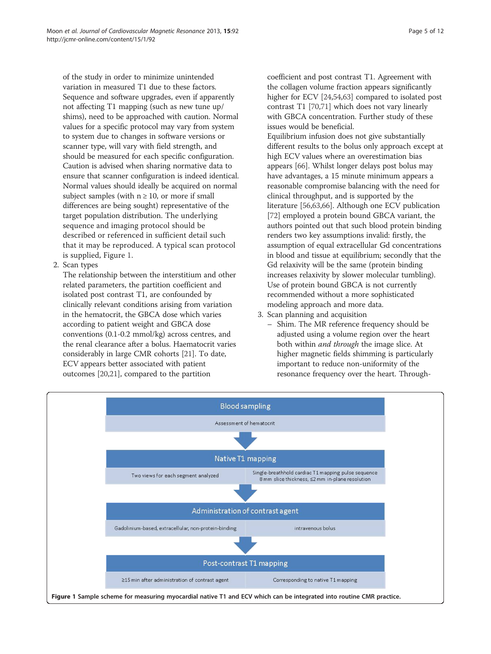of the study in order to minimize unintended variation in measured T1 due to these factors. Sequence and software upgrades, even if apparently not affecting T1 mapping (such as new tune up/ shims), need to be approached with caution. Normal values for a specific protocol may vary from system to system due to changes in software versions or scanner type, will vary with field strength, and should be measured for each specific configuration. Caution is advised when sharing normative data to ensure that scanner configuration is indeed identical. Normal values should ideally be acquired on normal subject samples (with  $n \geq 10$ , or more if small differences are being sought) representative of the target population distribution. The underlying sequence and imaging protocol should be described or referenced in sufficient detail such that it may be reproduced. A typical scan protocol is supplied, Figure 1.

2. Scan types

The relationship between the interstitium and other related parameters, the partition coefficient and isolated post contrast T1, are confounded by clinically relevant conditions arising from variation in the hematocrit, the GBCA dose which varies according to patient weight and GBCA dose conventions (0.1-0.2 mmol/kg) across centres, and the renal clearance after a bolus. Haematocrit varies considerably in large CMR cohorts [\[21](#page-9-0)]. To date, ECV appears better associated with patient outcomes [\[20,21\]](#page-9-0), compared to the partition

coefficient and post contrast T1. Agreement with the collagen volume fraction appears significantly higher for ECV [[24](#page-9-0)[,54,63\]](#page-10-0) compared to isolated post contrast T1 [\[70,71\]](#page-10-0) which does not vary linearly with GBCA concentration. Further study of these issues would be beneficial.

Equilibrium infusion does not give substantially different results to the bolus only approach except at high ECV values where an overestimation bias appears [[66\]](#page-10-0). Whilst longer delays post bolus may have advantages, a 15 minute minimum appears a reasonable compromise balancing with the need for clinical throughput, and is supported by the literature [\[56,63,66](#page-10-0)]. Although one ECV publication [[72](#page-10-0)] employed a protein bound GBCA variant, the authors pointed out that such blood protein binding renders two key assumptions invalid: firstly, the assumption of equal extracellular Gd concentrations in blood and tissue at equilibrium; secondly that the Gd relaxivity will be the same (protein binding increases relaxivity by slower molecular tumbling). Use of protein bound GBCA is not currently recommended without a more sophisticated modeling approach and more data.

- 3. Scan planning and acquisition
	- Shim. The MR reference frequency should be adjusted using a volume region over the heart both within and through the image slice. At higher magnetic fields shimming is particularly important to reduce non-uniformity of the resonance frequency over the heart. Through-

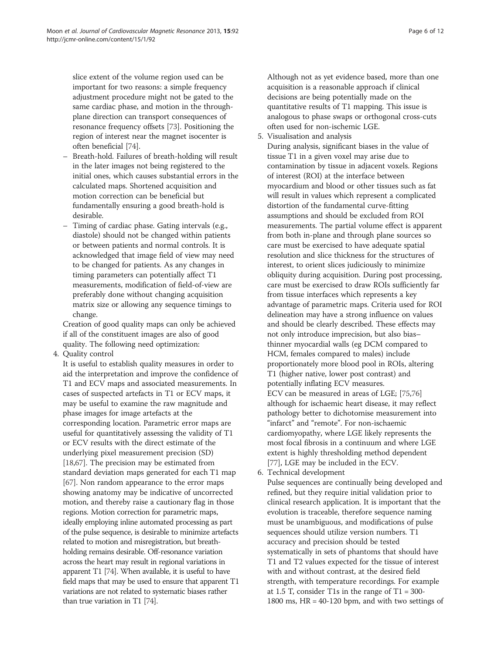slice extent of the volume region used can be important for two reasons: a simple frequency adjustment procedure might not be gated to the same cardiac phase, and motion in the throughplane direction can transport consequences of resonance frequency offsets [\[73](#page-10-0)]. Positioning the region of interest near the magnet isocenter is often beneficial [[74](#page-10-0)].

- Breath-hold. Failures of breath-holding will result in the later images not being registered to the initial ones, which causes substantial errors in the calculated maps. Shortened acquisition and motion correction can be beneficial but fundamentally ensuring a good breath-hold is desirable.
- Timing of cardiac phase. Gating intervals (e.g., diastole) should not be changed within patients or between patients and normal controls. It is acknowledged that image field of view may need to be changed for patients. As any changes in timing parameters can potentially affect T1 measurements, modification of field-of-view are preferably done without changing acquisition matrix size or allowing any sequence timings to change.

Creation of good quality maps can only be achieved if all of the constituent images are also of good quality. The following need optimization:

4. Quality control

It is useful to establish quality measures in order to aid the interpretation and improve the confidence of T1 and ECV maps and associated measurements. In cases of suspected artefacts in T1 or ECV maps, it may be useful to examine the raw magnitude and phase images for image artefacts at the corresponding location. Parametric error maps are useful for quantitatively assessing the validity of T1 or ECV results with the direct estimate of the underlying pixel measurement precision (SD) [\[18](#page-9-0)[,67\]](#page-10-0). The precision may be estimated from standard deviation maps generated for each T1 map [\[67](#page-10-0)]. Non random appearance to the error maps showing anatomy may be indicative of uncorrected motion, and thereby raise a cautionary flag in those regions. Motion correction for parametric maps, ideally employing inline automated processing as part of the pulse sequence, is desirable to minimize artefacts related to motion and misregistration, but breathholding remains desirable. Off-resonance variation across the heart may result in regional variations in apparent T1 [\[74](#page-10-0)]. When available, it is useful to have field maps that may be used to ensure that apparent T1 variations are not related to systematic biases rather than true variation in T1 [\[74\]](#page-10-0).

Although not as yet evidence based, more than one acquisition is a reasonable approach if clinical decisions are being potentially made on the quantitative results of T1 mapping. This issue is analogous to phase swaps or orthogonal cross-cuts often used for non-ischemic LGE.

5. Visualisation and analysis

During analysis, significant biases in the value of tissue T1 in a given voxel may arise due to contamination by tissue in adjacent voxels. Regions of interest (ROI) at the interface between myocardium and blood or other tissues such as fat will result in values which represent a complicated distortion of the fundamental curve-fitting assumptions and should be excluded from ROI measurements. The partial volume effect is apparent from both in-plane and through plane sources so care must be exercised to have adequate spatial resolution and slice thickness for the structures of interest, to orient slices judiciously to minimize obliquity during acquisition. During post processing, care must be exercised to draw ROIs sufficiently far from tissue interfaces which represents a key advantage of parametric maps. Criteria used for ROI delineation may have a strong influence on values and should be clearly described. These effects may not only introduce imprecision, but also bias– thinner myocardial walls (eg DCM compared to HCM, females compared to males) include proportionately more blood pool in ROIs, altering T1 (higher native, lower post contrast) and potentially inflating ECV measures. ECV can be measured in areas of LGE; [[75](#page-10-0),[76](#page-10-0)] although for ischaemic heart disease, it may reflect pathology better to dichotomise measurement into "infarct" and "remote". For non-ischaemic cardiomyopathy, where LGE likely represents the most focal fibrosis in a continuum and where LGE extent is highly thresholding method dependent [[77](#page-10-0)], LGE may be included in the ECV.

6. Technical development

Pulse sequences are continually being developed and refined, but they require initial validation prior to clinical research application. It is important that the evolution is traceable, therefore sequence naming must be unambiguous, and modifications of pulse sequences should utilize version numbers. T1 accuracy and precision should be tested systematically in sets of phantoms that should have T1 and T2 values expected for the tissue of interest with and without contrast, at the desired field strength, with temperature recordings. For example at 1.5 T, consider T1s in the range of  $T1 = 300-$ 1800 ms,  $HR = 40-120$  bpm, and with two settings of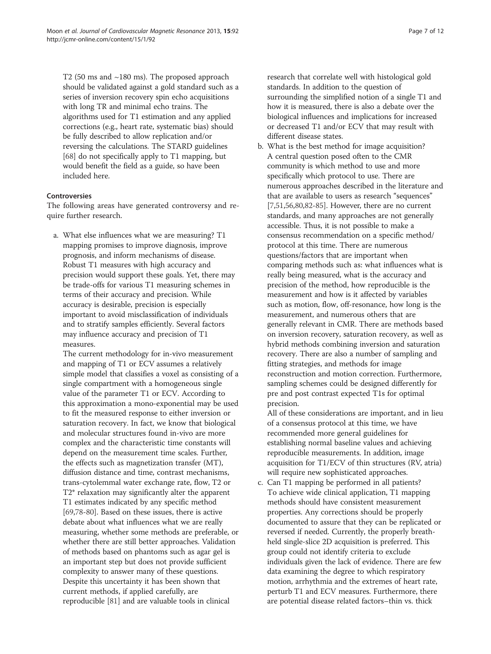T2 (50 ms and ~180 ms). The proposed approach should be validated against a gold standard such as a series of inversion recovery spin echo acquisitions with long TR and minimal echo trains. The algorithms used for T1 estimation and any applied corrections (e.g., heart rate, systematic bias) should be fully described to allow replication and/or reversing the calculations. The STARD guidelines [\[68](#page-10-0)] do not specifically apply to T1 mapping, but would benefit the field as a guide, so have been included here.

#### **Controversies**

The following areas have generated controversy and require further research.

a. What else influences what we are measuring? T1 mapping promises to improve diagnosis, improve prognosis, and inform mechanisms of disease. Robust T1 measures with high accuracy and precision would support these goals. Yet, there may be trade-offs for various T1 measuring schemes in terms of their accuracy and precision. While accuracy is desirable, precision is especially important to avoid misclassification of individuals and to stratify samples efficiently. Several factors may influence accuracy and precision of T1 measures.

The current methodology for in-vivo measurement and mapping of T1 or ECV assumes a relatively simple model that classifies a voxel as consisting of a single compartment with a homogeneous single value of the parameter T1 or ECV. According to this approximation a mono-exponential may be used to fit the measured response to either inversion or saturation recovery. In fact, we know that biological and molecular structures found in-vivo are more complex and the characteristic time constants will depend on the measurement time scales. Further, the effects such as magnetization transfer (MT), diffusion distance and time, contrast mechanisms, trans-cytolemmal water exchange rate, flow, T2 or T2\* relaxation may significantly alter the apparent T1 estimates indicated by any specific method [\[69,78](#page-10-0)[-80](#page-11-0)]. Based on these issues, there is active debate about what influences what we are really measuring, whether some methods are preferable, or whether there are still better approaches. Validation of methods based on phantoms such as agar gel is an important step but does not provide sufficient complexity to answer many of these questions. Despite this uncertainty it has been shown that current methods, if applied carefully, are reproducible [\[81\]](#page-11-0) and are valuable tools in clinical

research that correlate well with histological gold standards. In addition to the question of surrounding the simplified notion of a single T1 and how it is measured, there is also a debate over the biological influences and implications for increased or decreased T1 and/or ECV that may result with different disease states.

b. What is the best method for image acquisition? A central question posed often to the CMR community is which method to use and more specifically which protocol to use. There are numerous approaches described in the literature and that are available to users as research "sequences" [[7](#page-9-0)[,51,56,](#page-10-0)[80,82](#page-11-0)-[85\]](#page-11-0). However, there are no current standards, and many approaches are not generally accessible. Thus, it is not possible to make a consensus recommendation on a specific method/ protocol at this time. There are numerous questions/factors that are important when comparing methods such as: what influences what is really being measured, what is the accuracy and precision of the method, how reproducible is the measurement and how is it affected by variables such as motion, flow, off-resonance, how long is the measurement, and numerous others that are generally relevant in CMR. There are methods based on inversion recovery, saturation recovery, as well as hybrid methods combining inversion and saturation recovery. There are also a number of sampling and fitting strategies, and methods for image reconstruction and motion correction. Furthermore, sampling schemes could be designed differently for pre and post contrast expected T1s for optimal precision.

All of these considerations are important, and in lieu of a consensus protocol at this time, we have recommended more general guidelines for establishing normal baseline values and achieving reproducible measurements. In addition, image acquisition for T1/ECV of thin structures (RV, atria) will require new sophisticated approaches.

c. Can T1 mapping be performed in all patients? To achieve wide clinical application, T1 mapping methods should have consistent measurement properties. Any corrections should be properly documented to assure that they can be replicated or reversed if needed. Currently, the properly breathheld single-slice 2D acquisition is preferred. This group could not identify criteria to exclude individuals given the lack of evidence. There are few data examining the degree to which respiratory motion, arrhythmia and the extremes of heart rate, perturb T1 and ECV measures. Furthermore, there are potential disease related factors–thin vs. thick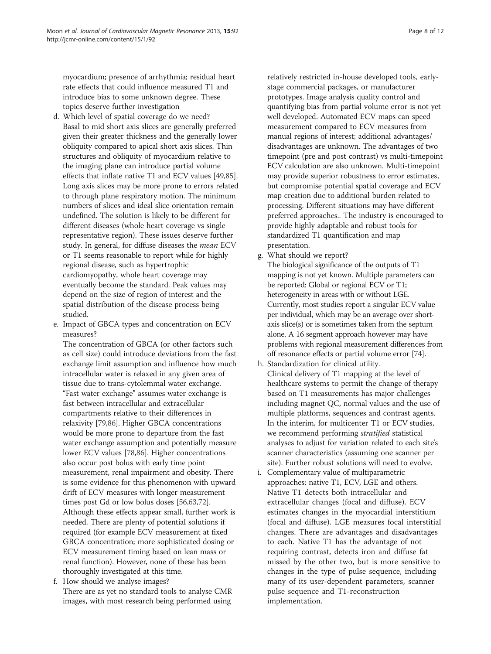myocardium; presence of arrhythmia; residual heart rate effects that could influence measured T1 and introduce bias to some unknown degree. These topics deserve further investigation

- d. Which level of spatial coverage do we need? Basal to mid short axis slices are generally preferred given their greater thickness and the generally lower obliquity compared to apical short axis slices. Thin structures and obliquity of myocardium relative to the imaging plane can introduce partial volume effects that inflate native T1 and ECV values [\[49,](#page-10-0)[85](#page-11-0)]. Long axis slices may be more prone to errors related to through plane respiratory motion. The minimum numbers of slices and ideal slice orientation remain undefined. The solution is likely to be different for different diseases (whole heart coverage vs single representative region). These issues deserve further study. In general, for diffuse diseases the mean ECV or T1 seems reasonable to report while for highly regional disease, such as hypertrophic cardiomyopathy, whole heart coverage may eventually become the standard. Peak values may depend on the size of region of interest and the spatial distribution of the disease process being studied.
- e. Impact of GBCA types and concentration on ECV measures?

The concentration of GBCA (or other factors such as cell size) could introduce deviations from the fast exchange limit assumption and influence how much intracellular water is relaxed in any given area of tissue due to trans-cytolemmal water exchange. "Fast water exchange" assumes water exchange is fast between intracellular and extracellular compartments relative to their differences in relaxivity [[79,86](#page-11-0)]. Higher GBCA concentrations would be more prone to departure from the fast water exchange assumption and potentially measure lower ECV values [[78](#page-10-0),[86](#page-11-0)]. Higher concentrations also occur post bolus with early time point measurement, renal impairment and obesity. There is some evidence for this phenomenon with upward drift of ECV measures with longer measurement times post Gd or low bolus doses [\[56,63,72](#page-10-0)]. Although these effects appear small, further work is needed. There are plenty of potential solutions if required (for example ECV measurement at fixed GBCA concentration; more sophisticated dosing or ECV measurement timing based on lean mass or renal function). However, none of these has been thoroughly investigated at this time.

f. How should we analyse images? There are as yet no standard tools to analyse CMR images, with most research being performed using

relatively restricted in-house developed tools, earlystage commercial packages, or manufacturer prototypes. Image analysis quality control and quantifying bias from partial volume error is not yet well developed. Automated ECV maps can speed measurement compared to ECV measures from manual regions of interest; additional advantages/ disadvantages are unknown. The advantages of two timepoint (pre and post contrast) vs multi-timepoint ECV calculation are also unknown. Multi-timepoint may provide superior robustness to error estimates, but compromise potential spatial coverage and ECV map creation due to additional burden related to processing. Different situations may have different preferred approaches.. The industry is encouraged to provide highly adaptable and robust tools for standardized T1 quantification and map presentation.

g. What should we report?

The biological significance of the outputs of T1 mapping is not yet known. Multiple parameters can be reported: Global or regional ECV or T1; heterogeneity in areas with or without LGE. Currently, most studies report a singular ECV value per individual, which may be an average over shortaxis slice(s) or is sometimes taken from the septum alone. A 16 segment approach however may have problems with regional measurement differences from off resonance effects or partial volume error [\[74\]](#page-10-0).

- h. Standardization for clinical utility. Clinical delivery of T1 mapping at the level of healthcare systems to permit the change of therapy based on T1 measurements has major challenges including magnet QC, normal values and the use of multiple platforms, sequences and contrast agents. In the interim, for multicenter T1 or ECV studies, we recommend performing stratified statistical analyses to adjust for variation related to each site's scanner characteristics (assuming one scanner per site). Further robust solutions will need to evolve.
- i. Complementary value of multiparametric approaches: native T1, ECV, LGE and others. Native T1 detects both intracellular and extracellular changes (focal and diffuse). ECV estimates changes in the myocardial interstitium (focal and diffuse). LGE measures focal interstitial changes. There are advantages and disadvantages to each. Native T1 has the advantage of not requiring contrast, detects iron and diffuse fat missed by the other two, but is more sensitive to changes in the type of pulse sequence, including many of its user-dependent parameters, scanner pulse sequence and T1-reconstruction implementation.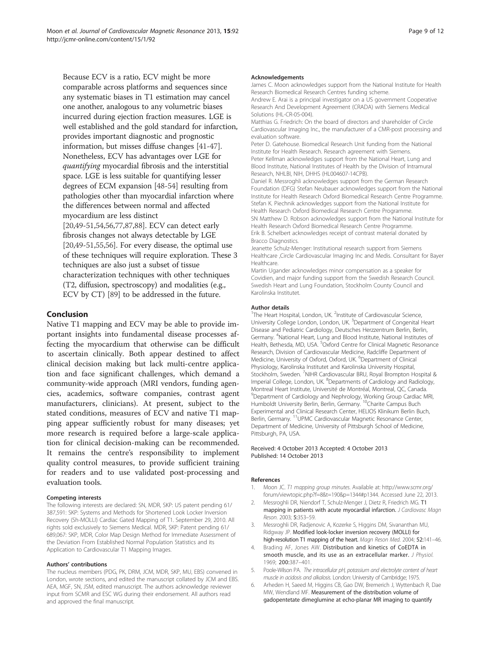<span id="page-8-0"></span>Because ECV is a ratio, ECV might be more comparable across platforms and sequences since any systematic biases in T1 estimation may cancel one another, analogous to any volumetric biases incurred during ejection fraction measures. LGE is well established and the gold standard for infarction, provides important diagnostic and prognostic information, but misses diffuse changes [\[41](#page-9-0)-[47](#page-10-0)]. Nonetheless, ECV has advantages over LGE for quantifying myocardial fibrosis and the interstitial space. LGE is less suitable for quantifying lesser degrees of ECM expansion [\[48-54](#page-10-0)] resulting from pathologies other than myocardial infarction where the differences between normal and affected myocardium are less distinct [\[20](#page-9-0)[,49-51,54,56,77](#page-10-0)[,87,88\]](#page-11-0). ECV can detect early

fibrosis changes not always detectable by LGE [\[20](#page-9-0)[,49-51,55,56\]](#page-10-0). For every disease, the optimal use of these techniques will require exploration. These 3 techniques are also just a subset of tissue characterization techniques with other techniques (T2, diffusion, spectroscopy) and modalities (e.g., ECV by CT) [[89](#page-11-0)] to be addressed in the future.

#### Conclusion

Native T1 mapping and ECV may be able to provide important insights into fundamental disease processes affecting the myocardium that otherwise can be difficult to ascertain clinically. Both appear destined to affect clinical decision making but lack multi-centre application and face significant challenges, which demand a community-wide approach (MRI vendors, funding agencies, academics, software companies, contrast agent manufacturers, clinicians). At present, subject to the stated conditions, measures of ECV and native T1 mapping appear sufficiently robust for many diseases; yet more research is required before a large-scale application for clinical decision-making can be recommended. It remains the centre's responsibility to implement quality control measures, to provide sufficient training for readers and to use validated post-processing and evaluation tools.

#### Competing interests

The following interests are declared: SN, MDR, SKP: US patent pending 61/ 387,591: SKP: Systems and Methods for Shortened Look Locker Inversion Recovery (Sh-MOLLI) Cardiac Gated Mapping of T1. September 29, 2010. All rights sold exclusively to Siemens Medical. MDR, SKP: Patent pending 61/ 689,067: SKP, MDR, Color Map Design Method for Immediate Assessment of the Deviation From Established Normal Population Statistics and its Application to Cardiovascular T1 Mapping Images.

#### Authors' contributions

The nucleus members (PDG, PK, DRM, JCM, MDR, SKP, MU, EBS) convened in London, wrote sections, and edited the manuscript collated by JCM and EBS. AEA, MGF, SN, JSM, edited manuscript. The authors acknowledge reviewer input from SCMR and ESC WG during their endorsement. All authors read and approved the final manuscript.

#### Acknowledgements

James C. Moon acknowledges support from the National Institute for Health Research Biomedical Research Centres funding scheme.

Andrew E. Arai is a principal investigator on a US government Cooperative Research And Development Agreement (CRADA) with Siemens Medical Solutions (HL-CR-05-004).

Matthias G. Friedrich: On the board of directors and shareholder of Circle Cardiovascular Imaging Inc., the manufacturer of a CMR-post processing and evaluation software.

Peter D. Gatehouse. Biomedical Research Unit funding from the National Institute for Health Research. Research agreement with Siemens. Peter Kellman acknowledges support from the National Heart, Lung and Blood Institute, National Institutes of Health by the Division of Intramural Research, NHLBI, NIH, DHHS (HL004607-14CPB).

Daniel R. Messroghli acknowledges support from the German Research Foundation (DFG) Stefan Neubauer acknowledges support from the National Institute for Health Research Oxford Biomedical Research Centre Programme. Stefan K. Piechnik acknowledges support from the National Institute for Health Research Oxford Biomedical Research Centre Programme. SN Matthew D. Robson acknowledges support from the National Institute for Health Research Oxford Biomedical Research Centre Programme. Erik B. Schelbert acknowledges receipt of contrast material donated by Bracco Diagnostics.

Jeanette Schulz-Menger: Institutional research support from Siemens Healthcare ,Circle Cardiovascular Imaging Inc and Medis. Consultant for Bayer Healthcare.

Martin Ugander acknowledges minor compensation as a speaker for Covidien, and major funding support from the Swedish Research Council. Swedish Heart and Lung Foundation, Stockholm County Council and Karolinska Institutet.

#### Author details

<sup>1</sup>The Heart Hospital, London, UK. <sup>2</sup>Institute of Cardiovascular Science, University College London, London, UK. <sup>3</sup>Department of Congenital Heart Disease and Pediatric Cardiology, Deutsches Herzzentrum Berlin, Berlin, Germany. <sup>4</sup>National Heart, Lung and Blood Institute, National Institutes of Health, Bethesda, MD, USA. <sup>5</sup>Oxford Centre for Clinical Magnetic Resonance Research, Division of Cardiovascular Medicine, Radcliffe Department of Medicine, University of Oxford, Oxford, UK. <sup>6</sup>Department of Clinical Physiology, Karolinska Institutet and Karolinska University Hospital, Stockholm, Sweden. <sup>7</sup>NIHR Cardiovascular BRU, Royal Brompton Hospital & Imperial College, London, UK. <sup>8</sup>Departments of Cardiology and Radiology, Montreal Heart Institute, Université de Montréal, Montreal, QC, Canada. <sup>9</sup>Department of Cardiology and Nephrology, Working Group Cardiac MRI, Humboldt University Berlin, Berlin, Germany. 10Charite Campus Buch Experimental and Clinical Research Center, HELIOS Klinikum Berlin Buch, Berlin, Germany. <sup>11</sup>UPMC Cardiovascular Magnetic Resonance Center, Department of Medicine, University of Pittsburgh School of Medicine, Pittsburgh, PA, USA.

#### Received: 4 October 2013 Accepted: 4 October 2013 Published: 14 October 2013

#### References

- 1. Moon JC. T1 mapping group minutes. Available at: [http://www.scmr.org/](http://www.scmr.org/forum/viewtopic.php?f=8&t=190&p=1344#p1344) [forum/viewtopic.php?f=8&t=190&p=1344#p1344.](http://www.scmr.org/forum/viewtopic.php?f=8&t=190&p=1344#p1344) Accessed June 22, 2013.
- 2. Messroghli DR, Niendorf T, Schulz-Menger J, Dietz R, Friedrich MG. T1 mapping in patients with acute myocardial infarction. J Cardiovasc Magn Reson. 2003; 5:353–59.
- 3. Messroghli DR, Radjenovic A, Kozerke S, Higgins DM, Sivananthan MU, Ridgway JP. Modified look-locker inversion recovery (MOLLI) for high-resolution T1 mapping of the heart. Magn Reson Med. 2004; 52:141-46.
- 4. Brading AF, Jones AW. Distribution and kinetics of CoEDTA in smooth muscle, and its use as an extracellular marker. J Physiol. 1969; 200:387–401.
- Poole-Wilson PA. The intracellular pH, potassium and electrolyte content of heart muscle in acidosis and alkalosis. London: University of Cambridge; 1975.
- 6. Arheden H, Saeed M, Higgins CB, Gao DW, Bremerich J, Wyttenbach R, Dae MW, Wendland MF. Measurement of the distribution volume of gadopentetate dimeglumine at echo-planar MR imaging to quantify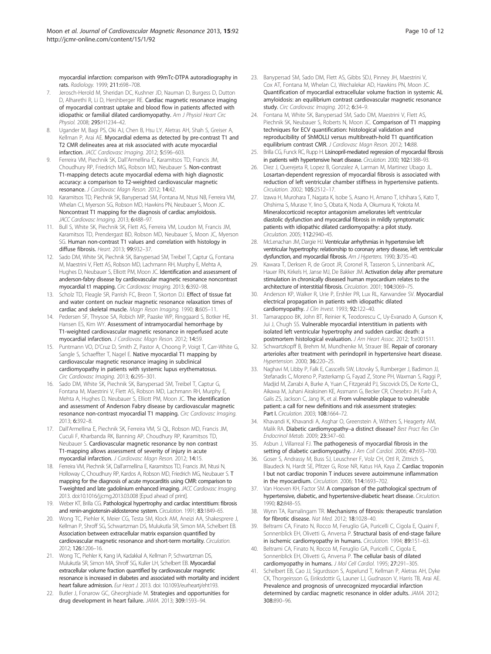<span id="page-9-0"></span>myocardial infarction: comparison with 99mTc-DTPA autoradiography in rats. Radiology. 1999; 211:698–708.

- 7. Jerosch-Herold M, Sheridan DC, Kushner JD, Nauman D, Burgess D, Dutton D, Alharethi R, Li D, Hershberger RE. Cardiac magnetic resonance imaging of myocardial contrast uptake and blood flow in patients affected with idiopathic or familial dilated cardiomyopathy. Am J Physiol Heart Circ Physiol. 2008; 295:H1234–42.
- Ugander M, Bagi PS, Oki AJ, Chen B, Hsu LY, Aletras AH, Shah S, Greiser A, Kellman P, Arai AE. Myocardial edema as detected by pre-contrast T1 and T2 CMR delineates area at risk associated with acute myocardial infarction. JACC Cardiovasc Imaging. 2012; 5:596–603.
- 9. Ferreira VM, Piechnik SK, Dall'Armellina E, Karamitsos TD, Francis JM, Choudhury RP, Friedrich MG, Robson MD, Neubauer S. Non-contrast T1-mapping detects acute myocardial edema with high diagnostic accuracy: a comparison to T2-weighted cardiovascular magnetic resonance. J Cardiovasc Magn Reson. 2012; 14:42.
- 10. Karamitsos TD, Piechnik SK, Banypersad SM, Fontana M, Ntusi NB, Ferreira VM, Whelan CJ, Myerson SG, Robson MD, Hawkins PN, Neubauer S, Moon JC. Noncontrast T1 mapping for the diagnosis of cardiac amyloidosis. JACC Cardiovasc Imaging. 2013; 6:488–97.
- 11. Bull S, White SK, Piechnik SK, Flett AS, Ferreira VM, Loudon M, Francis JM, Karamitsos TD, Prendergast BD, Robson MD, Neubauer S, Moon JC, Myerson SG. Human non-contrast T1 values and correlation with histology in diffuse fibrosis. Heart. 2013; 99:932–37.
- 12. Sado DM, White SK, Piechnik SK, Banypersad SM, Treibel T, Captur G, Fontana M, Maestrini V, Flett AS, Robson MD, Lachmann RH, Murphy E, Mehta A, Hughes D, Neubauer S, Elliott PM, Moon JC. Identification and assessment of anderson-fabry disease by cardiovascular magnetic resonance noncontrast myocardial t1 mapping. Circ Cardiovasc Imaging. 2013; 6:392–98.
- 13. Scholz TD, Fleagle SR, Parrish FC, Breon T, Skorton DJ. Effect of tissue fat and water content on nuclear magnetic resonance relaxation times of cardiac and skeletal muscle. Magn Reson Imaging. 1990; 8:605–11.
- 14. Pedersen SF, Thrysoe SA, Robich MP, Paaske WP, Ringgaard S, Botker HE, Hansen ES, Kim WY. Assessment of intramyocardial hemorrhage by T1-weighted cardiovascular magnetic resonance in reperfused acute myocardial infarction. J Cardiovasc Magn Reson. 2012; 14:59.
- 15. Puntmann VO, D'Cruz D, Smith Z, Pastor A, Choong P, Voigt T, Carr-White G, Sangle S, Schaeffter T, Nagel E. Native myocardial T1 mapping by cardiovascular magnetic resonance imaging in subclinical cardiomyopathy in patients with systemic lupus erythematosus. Circ Cardiovasc Imaging. 2013; 6:295–301.
- 16. Sado DM, White SK, Piechnik SK, Banypersad SM, Treibel T, Captur G, Fontana M, Maestrini V, Flett AS, Robson MD, Lachmann RH, Murphy E, Mehta A, Hughes D, Neubauer S, Elliott PM, Moon JC. The identification and assessment of Anderson Fabry disease by cardiovascular magnetic resonance non-contrast myocardial T1 mapping. Circ Cardiovasc Imaging. 2013; 6:392–8.
- 17. Dall'Armellina E, Piechnik SK, Ferreira VM, Si QL, Robson MD, Francis JM, Cuculi F, Kharbanda RK, Banning AP, Choudhury RP, Karamitsos TD, Neubauer S. Cardiovascular magnetic resonance by non contrast T1-mapping allows assessment of severity of injury in acute myocardial infarction. J Cardiovasc Magn Reson. 2012; 14:15.
- 18. Ferreira VM, Piechnik SK, Dall'armellina E, Karamitsos TD, Francis JM, Ntusi N, Holloway C, Choudhury RP, Kardos A, Robson MD, Friedrich MG, Neubauer S. T mapping for the diagnosis of acute myocarditis using CMR: comparison to T-weighted and late gadolinium enhanced imaging. JACC Cardiovasc Imaging. 2013. doi:10.1016/j.jcmg.2013.03.008 [Epud ahead of print].
- 19. Weber KT, Brilla CG. Pathological hypertrophy and cardiac interstitium: fibrosis and renin-angiotensin-aldosterone system. Circulation. 1991; 83:1849–65.
- 20. Wong TC, Piehler K, Meier CG, Testa SM, Klock AM, Aneizi AA, Shakesprere J, Kellman P, Shroff SG, Schwartzman DS, Mulukutla SR, Simon MA, Schelbert EB. Association between extracellular matrix expansion quantified by cardiovascular magnetic resonance and short-term mortality. Circulation. 2012; 126:1206–16.
- 21. Wong TC, Piehler K, Kang IA, Kadakkal A, Kellman P, Schwartzman DS, Mulukutla SR, Simon MA, Shroff SG, Kuller LH, Schelbert EB. Myocardial extracellular volume fraction quantified by cardiovascular magnetic resonance is increased in diabetes and associated with mortality and incident heart failure admission. Eur Heart J. 2013. doi: 10.1093/eurheartj/eht193.
- 22. Butler J, Fonarow GC, Gheorghiade M. Strategies and opportunities for drug development in heart failure. JAMA. 2013; 309:1593–94.
- 23. Banypersad SM, Sado DM, Flett AS, Gibbs SDJ, Pinney JH, Maestrini V, Cox AT, Fontana M, Whelan CJ, Wechalekar AD, Hawkins PN, Moon JC. Quantification of myocardial extracellular volume fraction in systemic AL amyloidosis: an equilibrium contrast cardiovascular magnetic resonance study. Circ Cardiovasc Imaging. 2012: 6:34-9.
- 24. Fontana M, White SK, Banypersad SM, Sado DM, Maestrini V, Flett AS, Piechnik SK, Neubauer S, Roberts N, Moon JC. Comparison of T1 mapping techniques for ECV quantification: histological validation and reproducibility of ShMOLLI versus multibreath-hold T1 quantification equilibrium contrast CMR. J Cardiovasc Magn Reson. 2012; 14:88.
- Brilla CG, Funck RC, Rupp H. Lisinopril-mediated regression of myocardial fibrosis in patients with hypertensive heart disease. Circulation. 2000; 102:1388–93.
- 26. Diez J, Querejeta R, Lopez B, Gonzalez A, Larman M, Martinez Ubago JL. Losartan-dependent regression of myocardial fibrosis is associated with reduction of left ventricular chamber stiffness in hypertensive patients. Circulation. 2002; 105:2512–17.
- 27. Izawa H, Murohara T, Nagata K, Isobe S, Asano H, Amano T, Ichihara S, Kato T, Ohshima S, Murase Y, Iino S, Obata K, Noda A, Okumura K, Yokota M. Mineralocorticoid receptor antagonism ameliorates left ventricular diastolic dysfunction and myocardial fibrosis in mildly symptomatic patients with idiopathic dilated cardiomyopathy: a pilot study. Circulation. 2005; 112:2940–45.
- 28. McLenachan JM, Dargie HJ. Ventricular arrhythmias in hypertensive left ventricular hypertrophy: relationship to coronary artery disease, left ventricular dysfunction, and myocardial fibrosis. Am J Hypertens. 1990; 3:735-40.
- Kawara T, Derksen R, de Groot JR, Coronel R, Tasseron S, Linnenbank AC, Hauer RN, Kirkels H, Janse MJ, De Bakker JM. Activation delay after premature stimulation in chronically diseased human myocardium relates to the architecture of interstitial fibrosis. Circulation. 2001; 104:3069–75.
- 30. Anderson KP, Walker R, Urie P, Ershler PR, Lux RL, Karwandee SV. Myocardial electrical propagation in patients with idiopathic dilated cardiomyopathy. J Clin Invest. 1993; 92:122-40.
- 31. Tamarappoo BK, John BT, Reinier K, Teodorescu C, Uy-Evanado A, Gunson K, Jui J, Chugh SS. Vulnerable myocardial interstitium in patients with isolated left ventricular hypertrophy and sudden cardiac death: a postmortem histological evaluation. J Am Heart Assoc. 2012; 1:e001511.
- 32. Schwartzkopff B, Brehm M, Mundhenke M, Strauer BE. Repair of coronary arterioles after treatment with perindopril in hypertensive heart disease. Hypertension. 2000: 36:220-25.
- 33. Naghavi M, Libby P, Falk E, Casscells SW, Litovsky S, Rumberger J, Badimon JJ, Stefanadis C, Moreno P, Pasterkamp G, Fayad Z, Stone PH, Waxman S, Raggi P, Madjid M, Zarrabi A, Burke A, Yuan C, Fitzgerald PJ, Siscovick DS, De Korte CL, Aikawa M, Juhani Airaksinen KE, Assmann G, Becker CR, Chesebro JH, Farb A, Galis ZS, Jackson C, Jang IK, et al. From vulnerable plaque to vulnerable patient: a call for new definitions and risk assessment strategies: Part I. Circulation. 2003; 108:1664–72.
- 34. Khavandi K, Khavandi A, Asghar O, Greenstein A, Withers S, Heagerty AM, Malik RA. Diabetic cardiomyopathy-a distinct disease? Best Pract Res Clin Endocrinol Metab. 2009; 23:347–60.
- 35. Asbun J, Villarreal FJ. The pathogenesis of myocardial fibrosis in the setting of diabetic cardiomyopathy. J Am Coll Cardiol. 2006; 47:693-700.
- 36. Goser S, Andrassy M, Buss SJ, Leuschner F, Volz CH, Ottl R, Zittrich S, Blaudeck N, Hardt SE, Pfitzer G, Rose NR, Katus HA, Kaya Z. Cardiac troponin I but not cardiac troponin T induces severe autoimmune inflammation in the myocardium. Circulation. 2006; 114:1693–702.
- 37. Van Hoeven KH, Factor SM, A comparison of the pathological spectrum of hypertensive, diabetic, and hypertensive-diabetic heart disease. Circulation. 1990; 82:848–55.
- 38. Wynn TA, Ramalingam TR. Mechanisms of fibrosis: therapeutic translation for fibrotic disease. Nat Med. 2012; 18:1028–40.
- 39. Beltrami CA, Finato N, Rocco M, Feruglio GA, Puricelli C, Cigola E, Quaini F, Sonnenblick EH, Olivetti G, Anversa P. Structural basis of end-stage failure in ischemic cardiomyopathy in humans. Circulation. 1994; 89:151–63.
- 40. Beltrami CA, Finato N, Rocco M, Feruglio GA, Puricelli C, Cigola E, Sonnenblick EH, Olivetti G, Anversa P. The cellular basis of dilated cardiomyopathy in humans. J Mol Cell Cardiol. 1995; 27:291-305.
- 41. Schelbert EB, Cao JJ, Sigurdsson S, Aspelund T, Kellman P, Aletras AH, Dyke CK, Thorgeirsson G, Eiriksdottir G, Launer LJ, Gudnason V, Harris TB, Arai AE. Prevalence and prognosis of unrecognized myocardial infarction determined by cardiac magnetic resonance in older adults. JAMA. 2012; 308:890–96.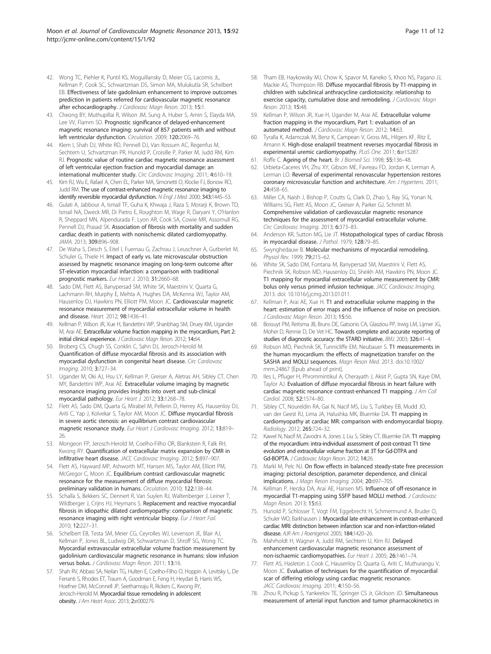- <span id="page-10-0"></span>42. Wong TC, Piehler K, Puntil KS, Moguillansky D, Meier CG, Lacomis JL, Kellman P, Cook SC, Schwartzman DS, Simon MA, Mulukutla SR, Schelbert EB. Effectiveness of late gadolinium enhancement to improve outcomes prediction in patients referred for cardiovascular magnetic resonance after echocardiography. J Cardiovasc Magn Reson. 2013; 15:1.
- 43. Cheong BY, Muthupillai R, Wilson JM, Sung A, Huber S, Amin S, Elayda MA, Lee VV, Flamm SD. Prognostic significance of delayed-enhancement magnetic resonance imaging: survival of 857 patients with and without left ventricular dysfunction. Circulation. 2009; 120:2069–76.
- 44. Klem I, Shah DJ, White RD, Pennell DJ, Van Rossum AC, Regenfus M, Sechtem U, Schvartzman PR, Hunold P, Croisille P, Parker M, Judd RM, Kim RJ. Prognostic value of routine cardiac magnetic resonance assessment of left ventricular ejection fraction and myocardial damage: an international multicenter study. Circ Cardiovasc Imaging. 2011; 4:610–19.
- 45. Kim RJ, Wu E, Rafael A, Chen EL, Parker MA, Simonetti O, Klocke FJ, Bonow RO, Judd RM. The use of contrast-enhanced magnetic resonance imaging to identify reversible myocardial dysfunction. N Engl J Med. 2000; 343:1445-53.
- 46. Gulati A, Jabbour A, Ismail TF, Guha K, Khwaja J, Raza S, Morarji K, Brown TD, Ismail NA, Dweck MR, Di Pietro E, Roughton M, Wage R, Daryani Y, O'Hanlon R, Sheppard MN, Alpendurada F, Lyon AR, Cook SA, Cowie MR, Assomull RG, Pennell DJ, Prasad SK. Association of fibrosis with mortality and sudden cardiac death in patients with nonischemic dilated cardiomyopathy. JAMA. 2013; 309:896–908.
- 47. De Waha S, Desch S, Eitel I, Fuernau G, Zachrau J, Leuschner A, Gutberlet M, Schuler G, Thiele H. Impact of early vs. late microvascular obstruction assessed by magnetic resonance imaging on long-term outcome after ST-elevation myocardial infarction: a comparison with traditional prognostic markers. Eur Heart J. 2010; 31:2660–68.
- 48. Sado DM, Flett AS, Banypersad SM, White SK, Maestrini V, Quarta G, Lachmann RH, Murphy E, Mehta A, Hughes DA, McKenna WJ, Taylor AM, Hausenloy DJ, Hawkins PN, Elliott PM, Moon JC. Cardiovascular magnetic resonance measurement of myocardial extracellular volume in health and disease. Heart. 2012; 98:1436–41.
- 49. Kellman P, Wilson JR, Xue H, Bandettini WP, Shanbhag SM, Druey KM, Ugander M, Arai AE. Extracellular volume fraction mapping in the myocardium, Part 2: initial clinical experience. J Cardiovasc Magn Reson. 2012; 14:64.
- 50. Broberg CS, Chugh SS, Conklin C, Sahn DJ, Jerosch-Herold M. Quantification of diffuse myocardial fibrosis and its association with myocardial dysfunction in congenital heart disease. Circ Cardiovasc Imaging. 2010; 3:727–34.
- 51. Ugander M, Oki AJ, Hsu LY, Kellman P, Greiser A, Aletras AH, Sibley CT, Chen MY, Bandettini WP, Arai AE. Extracellular volume imaging by magnetic resonance imaging provides insights into overt and sub-clinical myocardial pathology. Eur Heart J. 2012; 33:1268–78.
- 52. Flett AS, Sado DM, Quarta G, Mirabel M, Pellerin D, Herrey AS, Hausenloy DJ, Ariti C, Yap J, Kolvekar S, Taylor AM, Moon JC. Diffuse myocardial fibrosis in severe aortic stenosis: an equilibrium contrast cardiovascular magnetic resonance study. Eur Heart J Cardiovasc Imaging. 2012; 13:819– 26.
- 53. Mongeon FP, Jerosch-Herold M, Coelho-Filho OR, Blankstein R, Falk RH, Kwong RY. Quantification of extracellular matrix expansion by CMR in infiltrative heart disease. JACC Cardiovasc Imaging. 2012; 5:897–907.
- 54. Flett AS, Hayward MP, Ashworth MT, Hansen MS, Taylor AM, Elliott PM, McGregor C, Moon JC. Equilibrium contrast cardiovascular magnetic resonance for the measurement of diffuse myocardial fibrosis: preliminary validation in humans. Circulation. 2010; 122:138–44.
- 55. Schalla S, Bekkers SC, Dennert R, Van Suylen RJ, Waltenberger J, Leiner T, Wildberger J, Crijns HJ, Heymans S. Replacement and reactive myocardial fibrosis in idiopathic dilated cardiomyopathy: comparison of magnetic resonance imaging with right ventricular biopsy. Eur J Heart Fail. 2010; 12:227–31.
- 56. Schelbert EB, Testa SM, Meier CG, Ceyrolles WJ, Levenson JE, Blair AJ, Kellman P, Jones BL, Ludwig DR, Schwartzman D, Shroff SG, Wong TC. Myocardial extravascular extracellular volume fraction measurement by gadolinium cardiovascular magnetic resonance in humans: slow infusion versus bolus. J Cardiovasc Magn Reson. 2011; 13:16.
- 57. Shah RV, Abbasi SA, Neilan TG, Hulten E, Coelho-Filho O, Hoppin A, Levitsky L, De Ferranti S, Rhodes ET, Traum A, Goodman E, Feng H, Heydari B, Harris WS, Hoefner DM, McConnell JP, Seethamraju R, Rickers C, Kwong RY, Jerosch-Herold M. Myocardial tissue remodeling in adolescent obesity. J Am Heart Assoc. 2013; 2:e000279.
- 58. Tham EB, Haykowsky MJ, Chow K, Spavor M, Kaneko S, Khoo NS, Pagano JJ, Mackie AS, Thompson RB. Diffuse myocardial fibrosis by T1-mapping in children with subclinical anthracycline cardiotoxicity: relationship to exercise capacity, cumulative dose and remodeling. J Cardiovasc Magn Reson. 2013; 15:48.
- 59. Kellman P, Wilson JR, Xue H, Ugander M, Arai AE. Extracellular volume fraction mapping in the myocardium, Part 1: evaluation of an automated method. J Cardiovasc Magn Reson. 2012; 14:63.
- 60. Tyralla K, Adamczak M, Benz K, Campean V, Gross ML, Hilgers KF, Ritz E, Amann K. High-dose enalapril treatment reverses myocardial fibrosis in experimental uremic cardiomyopathy. PLoS One. 2011; 6:e15287
- 61. Roffe C. Ageing of the heart. Br J Biomed Sci. 1998; 55:136–48.
- 62. Urbieta-Caceres VH, Zhu XY, Gibson ME, Favreau FD, Jordan K, Lerman A, Lerman LO. Reversal of experimental renovascular hypertension restores coronary microvascular function and architecture. Am J Hypertens. 2011; 24:458–65.
- 63. Miller CA, Naish J, Bishop P, Coutts G, Clark D, Zhao S, Ray SG, Yonan N, Williams SG, Flett AS, Moon JC, Greiser A, Parker GJ, Schmitt M. Comprehensive validation of cardiovascular magnetic resonance techniques for the assessment of myocardial extracellular volume. Circ Cardiovasc Imaging. 2013; 6:373–83.
- 64. Anderson KR, Sutton MG, Lie JT. Histopathological types of cardiac fibrosis in myocardial disease. J Pathol. 1979; 128:79-85.
- 65. Swynghedauw B. Molecular mechanisms of myocardial remodeling. Physiol Rev. 1999; 79:215-62.
- 66. White SK, Sado DM, Fontana M, Banypersad SM, Maestrini V, Flett AS, Piechnik SK, Robson MD, Hausenloy DJ, Sheikh AM, Hawkins PN, Moon JC. T1 mapping for myocardial extracellular volume measurement by CMR: bolus only versus primed infusion technique. JACC Cardiovasc Imaging. 2013. doi: 10.1016/j.jcmg.2013.01.011.
- 67. Kellman P, Arai AE, Xue H. T1 and extracellular volume mapping in the heart: estimation of error maps and the influence of noise on precision. J Cardiovasc Magn Reson. 2013; 15:56.
- 68. Bossuyt PM, Reitsma JB, Bruns DE, Gatsonis CA, Glasziou PP, Irwig LM, Lijmer JG, Moher D, Rennie D, De Vet HC. Towards complete and accurate reporting of studies of diagnostic accuracy: the STARD initiative. BMJ. 2003; 326:41–4.
- 69. Robson MD, Piechnik SK, Tunnicliffe EM, Neubauer S. T1 measurements in the human myocardium: the effects of magnetization transfer on the SASHA and MOLLI sequences. Magn Reson Med. 2013. doi:10.1002/ mrm.24867 [Epub ahead of print].
- 70. Iles L, Pfluger H, Phrommintikul A, Cherayath J, Aksit P, Gupta SN, Kaye DM, Taylor AJ. Evaluation of diffuse myocardial fibrosis in heart failure with cardiac magnetic resonance contrast-enhanced T1 mapping. J Am Coll Cardiol. 2008; 52:1574–80.
- 71. Sibley CT, Noureldin RA, Gai N, Nacif MS, Liu S, Turkbey EB, Mudd JO, van der Geest RJ, Lima JA, Halushka MK, Bluemke DA. T1 mapping in cardiomyopathy at cardiac MR: comparison with endomyocardial biopsy. Radiology. 2012; 265:724–32.
- 72. Kawel N, Nacif M, Zavodni A, Jones J, Liu S, Sibley CT, Bluemke DA. T1 mapping of the myocardium: intra-individual assessment of post-contrast T1 time evolution and extracellular volume fraction at 3T for Gd-DTPA and Gd-BOPTA. J Cardiovasc Magn Reson. 2012; 14:26.
- 73. Markl M, Pelc NJ. On flow effects in balanced steady-state free precession imaging: pictorial description, parameter dependence, and clinical implications. J Magn Reson Imaging. 2004; 20:697-705.
- 74. Kellman P, Herzka DA, Arai AE, Hansen MS. Influence of off-resonance in myocardial T1-mapping using SSFP based MOLLI method. J Cardiovasc Magn Reson. 2013; 15:63.
- 75. Hunold P, Schlosser T, Vogt FM, Eggebrecht H, Schmermund A, Bruder O, Schuler WO, Barkhausen J. Myocardial late enhancement in contrast-enhanced cardiac MRI: distinction between infarction scar and non-infarction-related disease. AJR Am J Roentgenol. 2005; 184:1420–26.
- 76. Mahrholdt H, Wagner A, Judd RM, Sechtem U, Kim RJ. Delayed enhancement cardiovascular magnetic resonance assessment of non-ischaemic cardiomyopathies. Eur Heart J. 2005; 26:1461–74.
- 77. Flett AS, Hasleton J, Cook C, Hausenloy D, Quarta G, Ariti C, Muthurangu V, Moon JC. Evaluation of techniques for the quantification of myocardial scar of differing etiology using cardiac magnetic resonance. JACC Cardiovasc Imaging. 2011; 4:150-56.
- 78. Zhou R, Pickup S, Yankeelov TE, Springer CS Jr, Glickson JD. Simultaneous measurement of arterial input function and tumor pharmacokinetics in